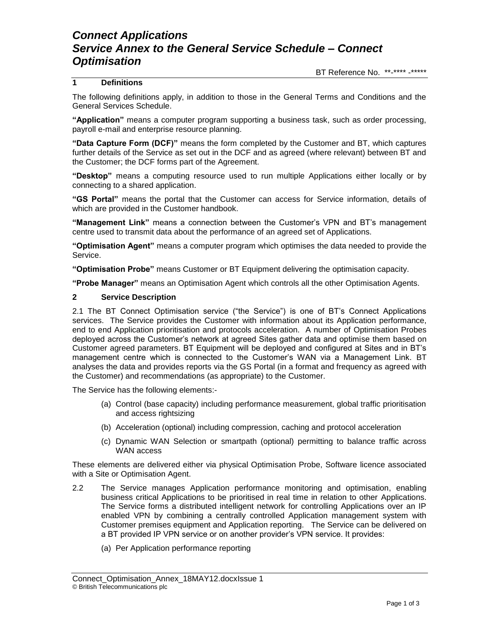# *Connect Applications Service Annex to the General Service Schedule – Connect Optimisation*

BT Reference No. \*\*-\*\*\*\* -\*\*\*\*\*

### **1 Definitions**

The following definitions apply, in addition to those in the General Terms and Conditions and the General Services Schedule.

**"Application"** means a computer program supporting a business task, such as order processing, payroll e-mail and enterprise resource planning.

**"Data Capture Form (DCF)"** means the form completed by the Customer and BT, which captures further details of the Service as set out in the DCF and as agreed (where relevant) between BT and the Customer; the DCF forms part of the Agreement.

**"Desktop"** means a computing resource used to run multiple Applications either locally or by connecting to a shared application.

**"GS Portal"** means the portal that the Customer can access for Service information, details of which are provided in the Customer handbook.

**"Management Link"** means a connection between the Customer's VPN and BT's management centre used to transmit data about the performance of an agreed set of Applications.

**"Optimisation Agent"** means a computer program which optimises the data needed to provide the Service.

**"Optimisation Probe"** means Customer or BT Equipment delivering the optimisation capacity.

**"Probe Manager"** means an Optimisation Agent which controls all the other Optimisation Agents.

#### **2 Service Description**

2.1 The BT Connect Optimisation service ("the Service") is one of BT's Connect Applications services. The Service provides the Customer with information about its Application performance, end to end Application prioritisation and protocols acceleration. A number of Optimisation Probes deployed across the Customer's network at agreed Sites gather data and optimise them based on Customer agreed parameters. BT Equipment will be deployed and configured at Sites and in BT's management centre which is connected to the Customer's WAN via a Management Link. BT analyses the data and provides reports via the GS Portal (in a format and frequency as agreed with the Customer) and recommendations (as appropriate) to the Customer.

The Service has the following elements:-

- (a) Control (base capacity) including performance measurement, global traffic prioritisation and access rightsizing
- (b) Acceleration (optional) including compression, caching and protocol acceleration
- (c) Dynamic WAN Selection or smartpath (optional) permitting to balance traffic across WAN access

These elements are delivered either via physical Optimisation Probe, Software licence associated with a Site or Optimisation Agent.

- 2.2 The Service manages Application performance monitoring and optimisation, enabling business critical Applications to be prioritised in real time in relation to other Applications. The Service forms a distributed intelligent network for controlling Applications over an IP enabled VPN by combining a centrally controlled Application management system with Customer premises equipment and Application reporting. The Service can be delivered on a BT provided IP VPN service or on another provider's VPN service. It provides:
	- (a) Per Application performance reporting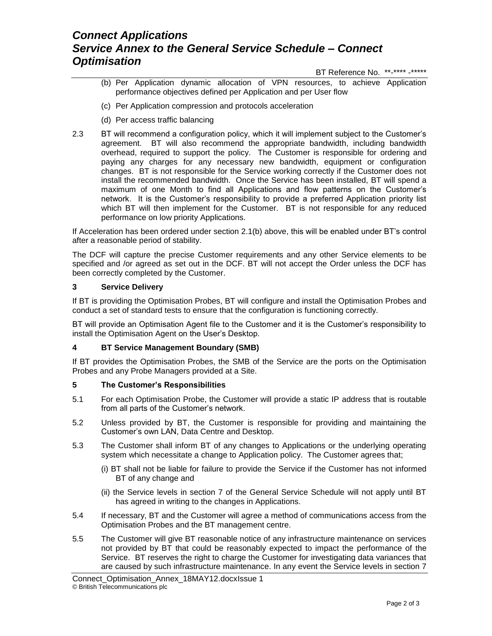# *Connect Applications Service Annex to the General Service Schedule – Connect Optimisation*

BT Reference No. \*\*-\*\*\*\* -\*\*\*\*\*

- (b) Per Application dynamic allocation of VPN resources, to achieve Application performance objectives defined per Application and per User flow
- (c) Per Application compression and protocols acceleration
- (d) Per access traffic balancing
- 2.3 BT will recommend a configuration policy, which it will implement subject to the Customer's agreement. BT will also recommend the appropriate bandwidth, including bandwidth overhead, required to support the policy. The Customer is responsible for ordering and paying any charges for any necessary new bandwidth, equipment or configuration changes. BT is not responsible for the Service working correctly if the Customer does not install the recommended bandwidth. Once the Service has been installed, BT will spend a maximum of one Month to find all Applications and flow patterns on the Customer's network. It is the Customer's responsibility to provide a preferred Application priority list which BT will then implement for the Customer. BT is not responsible for any reduced performance on low priority Applications.

If Acceleration has been ordered under section 2.1(b) above, this will be enabled under BT's control after a reasonable period of stability.

The DCF will capture the precise Customer requirements and any other Service elements to be specified and /or agreed as set out in the DCF. BT will not accept the Order unless the DCF has been correctly completed by the Customer.

### **3 Service Delivery**

If BT is providing the Optimisation Probes, BT will configure and install the Optimisation Probes and conduct a set of standard tests to ensure that the configuration is functioning correctly.

BT will provide an Optimisation Agent file to the Customer and it is the Customer's responsibility to install the Optimisation Agent on the User's Desktop.

#### **4 BT Service Management Boundary (SMB)**

If BT provides the Optimisation Probes, the SMB of the Service are the ports on the Optimisation Probes and any Probe Managers provided at a Site.

### **5 The Customer's Responsibilities**

- 5.1 For each Optimisation Probe, the Customer will provide a static IP address that is routable from all parts of the Customer's network.
- 5.2 Unless provided by BT, the Customer is responsible for providing and maintaining the Customer's own LAN, Data Centre and Desktop.
- 5.3 The Customer shall inform BT of any changes to Applications or the underlying operating system which necessitate a change to Application policy. The Customer agrees that;
	- (i) BT shall not be liable for failure to provide the Service if the Customer has not informed BT of any change and
	- (ii) the Service levels in section 7 of the General Service Schedule will not apply until BT has agreed in writing to the changes in Applications.
- 5.4 If necessary, BT and the Customer will agree a method of communications access from the Optimisation Probes and the BT management centre.
- 5.5 The Customer will give BT reasonable notice of any infrastructure maintenance on services not provided by BT that could be reasonably expected to impact the performance of the Service. BT reserves the right to charge the Customer for investigating data variances that are caused by such infrastructure maintenance. In any event the Service levels in section 7